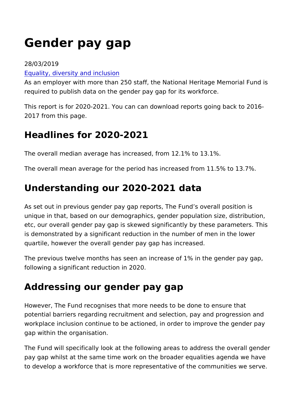# Gender pay gap

#### 28/03/2019

#### [Equality, diversity and](https://www.heritagefund.org.uk/about/our-commitment-equality-diversity-and-inclusion) inclusion

As an employer with more than 250 staff, the National Heritage required to publish data on the gender pay gap for its workforce

This report is for 2020-2021. You can can download reports goi 2017 from this page.

### Headlines for 2020-2021

The overall median average has increased, from 12.1% to 13.1%. The overall mean average for the period has increased from 11.

#### Understanding our 2020-2021 data

As set out in previous gender pay gap reports, The Fund s over unique in that, based on our demographics, gender population s etc, our overall gender pay gap is skewed significantly by these is demonstrated by a significant reduction in the number of mer quartile, however the overall gender pay gap has increased.

The previous twelve months has seen an increase of 1% in the following a significant reduction in 2020.

## Addressing our gender pay gap

However, The Fund recognises that more needs to be done to en potential barriers regarding recruitment and selection, pay and workplace inclusion continue to be actioned, in order to improv gap within the organisation.

The Fund will specifically look at the following areas to addres pay gap whilst at the same time work on the broader equalities to develop a workforce that is more representative of the comm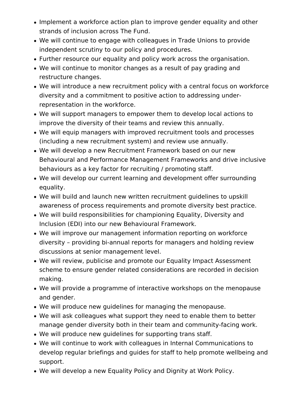- Implement a workforce action plan to improve gender equality and other strands of inclusion across The Fund.
- We will continue to engage with colleagues in Trade Unions to provide independent scrutiny to our policy and procedures.
- Further resource our equality and policy work across the organisation.
- We will continue to monitor changes as a result of pay grading and restructure changes.
- We will introduce a new recruitment policy with a central focus on workforce diversity and a commitment to positive action to addressing underrepresentation in the workforce.
- We will support managers to empower them to develop local actions to improve the diversity of their teams and review this annually.
- We will equip managers with improved recruitment tools and processes (including a new recruitment system) and review use annually.
- We will develop a new Recruitment Framework based on our new Behavioural and Performance Management Frameworks and drive inclusive behaviours as a key factor for recruiting / promoting staff.
- We will develop our current learning and development offer surrounding equality.
- We will build and launch new written recruitment guidelines to upskill awareness of process requirements and promote diversity best practice.
- We will build responsibilities for championing Equality, Diversity and Inclusion (EDI) into our new Behavioural Framework.
- We will improve our management information reporting on workforce diversity – providing bi-annual reports for managers and holding review discussions at senior management level.
- We will review, publicise and promote our Equality Impact Assessment scheme to ensure gender related considerations are recorded in decision making.
- We will provide a programme of interactive workshops on the menopause and gender.
- We will produce new guidelines for managing the menopause.
- We will ask colleagues what support they need to enable them to better manage gender diversity both in their team and community-facing work.
- We will produce new guidelines for supporting trans staff.
- We will continue to work with colleagues in Internal Communications to develop regular briefings and guides for staff to help promote wellbeing and support.
- We will develop a new Equality Policy and Dignity at Work Policy.